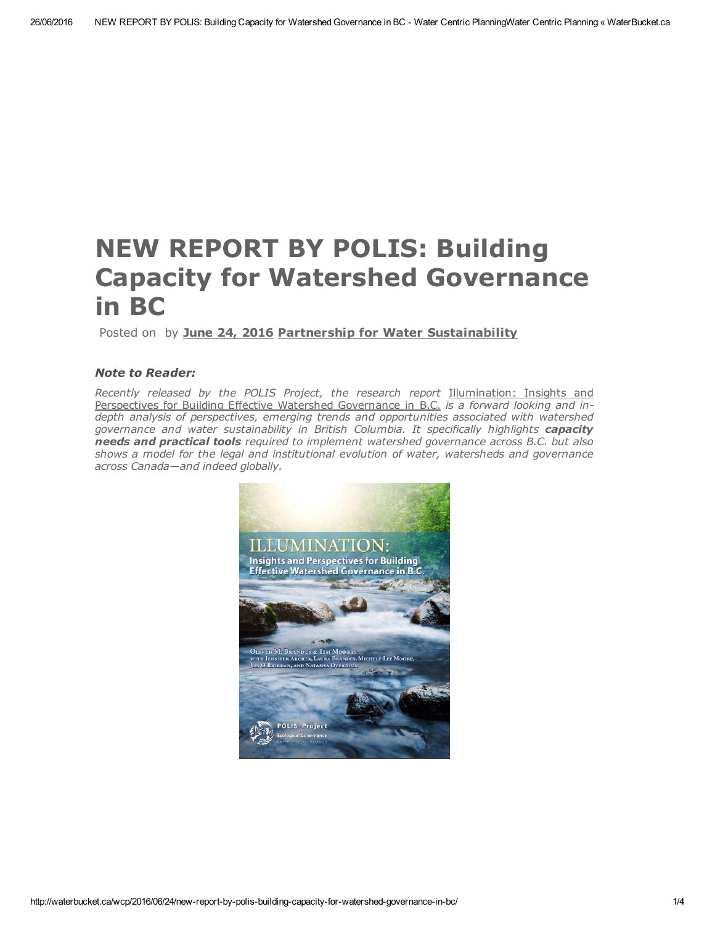# NEW REPORT BY POLIS: Building Capacity for Watershed Governance in BC

### Posted on by June 24, [2016](http://waterbucket.ca/wcp/2016/06/24/new-report-by-polis-building-capacity-for-watershed-governance-in-bc/) Partnership for Water [Sustainability](http://waterbucket.ca/wcp/author/kstephens/)

### *Note to Reader:*

*Recently released by the POLIS Project, the research report* [Illumination:](http://poliswaterproject.org/illumination) Insights and Perspectives for Building Effective Watershed [Governance](http://poliswaterproject.org/illumination) in B.C. *is a forward looking and indepth analysis of perspectives, emerging trends and opportunities associated with watershed governance and water sustainability in British Columbia. It specifically highlights capacity needs and practical tools required to implement watershed governance across B.C. but also shows a model for the legal and institutional evolution of water, watersheds and governance across Canada—and indeed globally.*

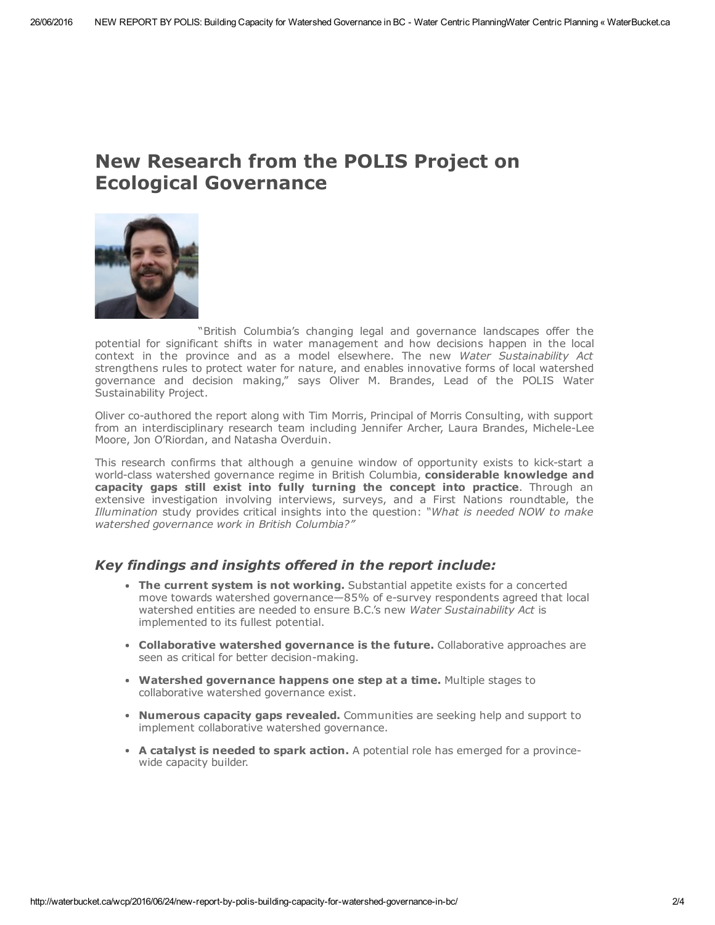## New Research from the POLIS Project on Ecological Governance



["](http://waterbucket.ca/wcp/files/2015/08/2Oliver-Brandes_Mar-2015_120p.jpg)British Columbia's changing legal and governance landscapes offer the potential for significant shifts in water management and how decisions happen in the local context in the province and as a model elsewhere. The new *Water Sustainability Act* strengthens rules to protect water for nature, and enables innovative forms of local watershed governance and decision making," says Oliver M. Brandes, Lead of the POLIS Water Sustainability Project.

Oliver co-authored the report along with Tim Morris, Principal of Morris Consulting, with support from an interdisciplinary research team including Jennifer Archer, Laura Brandes, Michele-Lee Moore, Jon O'Riordan, and Natasha Overduin.

This research confirms that although a genuine window of opportunity exists to kick-start a world-class watershed governance regime in British Columbia, considerable knowledge and capacity gaps still exist into fully turning the concept into practice. Through an extensive investigation involving interviews, surveys, and a First Nations roundtable, the *Illumination* study provides critical insights into the question: *"What is needed NOW to make watershed governance work in British Columbia?"*

### *Key findings and insights offered in the report include:*

- The current system is not working. Substantial appetite exists for a concerted move towards watershed governance—85% of e-survey respondents agreed that local watershed entities are needed to ensure B.C.'s new *Water Sustainability Act* is implemented to its fullest potential.
- Collaborative watershed governance is the future. Collaborative approaches are seen as critical for better decision-making.
- Watershed governance happens one step at a time. Multiple stages to collaborative watershed governance exist.
- Numerous capacity gaps revealed. Communities are seeking help and support to implement collaborative watershed governance.
- A catalyst is needed to spark action. A potential role has emerged for a provincewide capacity builder.